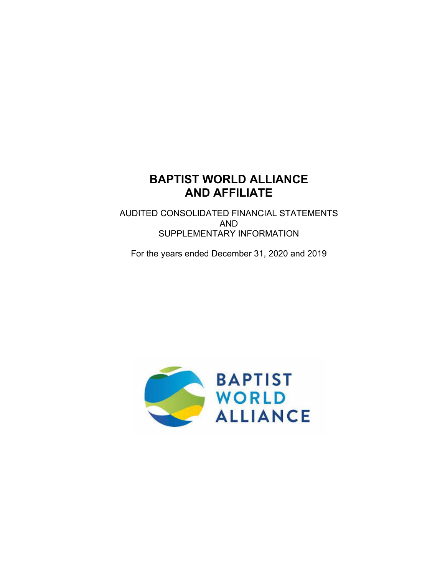AUDITED CONSOLIDATED FINANCIAL STATEMENTS AND SUPPLEMENTARY INFORMATION

For the years ended December 31, 2020 and 2019

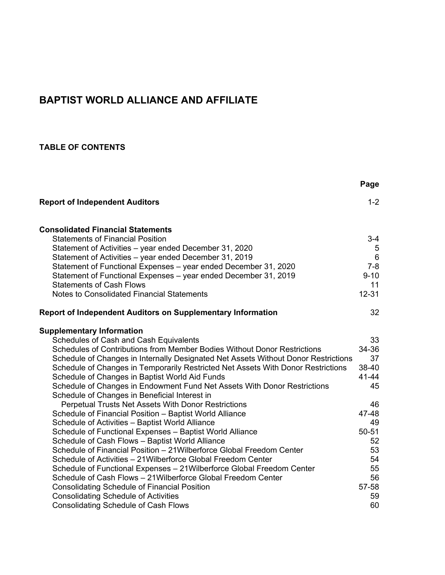# **TABLE OF CONTENTS**

|                                                                                    | Page      |
|------------------------------------------------------------------------------------|-----------|
| <b>Report of Independent Auditors</b>                                              | $1 - 2$   |
| <b>Consolidated Financial Statements</b>                                           |           |
| <b>Statements of Financial Position</b>                                            | $3 - 4$   |
| Statement of Activities - year ended December 31, 2020                             | 5         |
| Statement of Activities – year ended December 31, 2019                             | $\,6\,$   |
| Statement of Functional Expenses - year ended December 31, 2020                    | $7 - 8$   |
| Statement of Functional Expenses - year ended December 31, 2019                    | $9 - 10$  |
| <b>Statements of Cash Flows</b>                                                    | 11        |
| <b>Notes to Consolidated Financial Statements</b>                                  | $12 - 31$ |
| <b>Report of Independent Auditors on Supplementary Information</b>                 | 32        |
| <b>Supplementary Information</b>                                                   |           |
| Schedules of Cash and Cash Equivalents                                             | 33        |
| Schedules of Contributions from Member Bodies Without Donor Restrictions           | 34-36     |
| Schedule of Changes in Internally Designated Net Assets Without Donor Restrictions | 37        |
| Schedule of Changes in Temporarily Restricted Net Assets With Donor Restrictions   | 38-40     |
| Schedule of Changes in Baptist World Aid Funds                                     | 41-44     |
| Schedule of Changes in Endowment Fund Net Assets With Donor Restrictions           | 45        |
| Schedule of Changes in Beneficial Interest in                                      |           |
| Perpetual Trusts Net Assets With Donor Restrictions                                | 46        |
| Schedule of Financial Position - Baptist World Alliance                            | 47-48     |
| Schedule of Activities - Baptist World Alliance                                    | 49        |
| Schedule of Functional Expenses - Baptist World Alliance                           | $50 - 51$ |
| Schedule of Cash Flows - Baptist World Alliance                                    | 52        |
| Schedule of Financial Position - 21 Wilberforce Global Freedom Center              | 53        |
| Schedule of Activities – 21 Wilberforce Global Freedom Center                      | 54        |
| Schedule of Functional Expenses - 21 Wilberforce Global Freedom Center             | 55        |
| Schedule of Cash Flows - 21 Wilberforce Global Freedom Center                      | 56        |
| <b>Consolidating Schedule of Financial Position</b>                                | 57-58     |
| <b>Consolidating Schedule of Activities</b>                                        | 59        |
| <b>Consolidating Schedule of Cash Flows</b>                                        | 60        |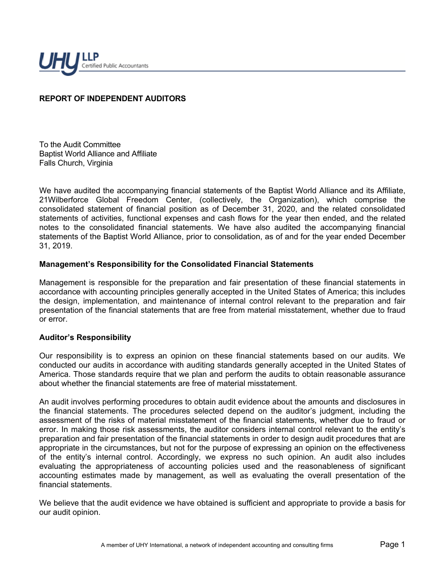

# **REPORT OF INDEPENDENT AUDITORS**

To the Audit Committee Baptist World Alliance and Affiliate Falls Church, Virginia

We have audited the accompanying financial statements of the Baptist World Alliance and its Affiliate, 21Wilberforce Global Freedom Center, (collectively, the Organization), which comprise the consolidated statement of financial position as of December 31, 2020, and the related consolidated statements of activities, functional expenses and cash flows for the year then ended, and the related notes to the consolidated financial statements. We have also audited the accompanying financial statements of the Baptist World Alliance, prior to consolidation, as of and for the year ended December 31, 2019.

#### **Management's Responsibility for the Consolidated Financial Statements**

Management is responsible for the preparation and fair presentation of these financial statements in accordance with accounting principles generally accepted in the United States of America; this includes the design, implementation, and maintenance of internal control relevant to the preparation and fair presentation of the financial statements that are free from material misstatement, whether due to fraud or error.

#### **Auditor's Responsibility**

Our responsibility is to express an opinion on these financial statements based on our audits. We conducted our audits in accordance with auditing standards generally accepted in the United States of America. Those standards require that we plan and perform the audits to obtain reasonable assurance about whether the financial statements are free of material misstatement.

An audit involves performing procedures to obtain audit evidence about the amounts and disclosures in the financial statements. The procedures selected depend on the auditor's judgment, including the assessment of the risks of material misstatement of the financial statements, whether due to fraud or error. In making those risk assessments, the auditor considers internal control relevant to the entity's preparation and fair presentation of the financial statements in order to design audit procedures that are appropriate in the circumstances, but not for the purpose of expressing an opinion on the effectiveness of the entity's internal control. Accordingly, we express no such opinion. An audit also includes evaluating the appropriateness of accounting policies used and the reasonableness of significant accounting estimates made by management, as well as evaluating the overall presentation of the financial statements.

We believe that the audit evidence we have obtained is sufficient and appropriate to provide a basis for our audit opinion.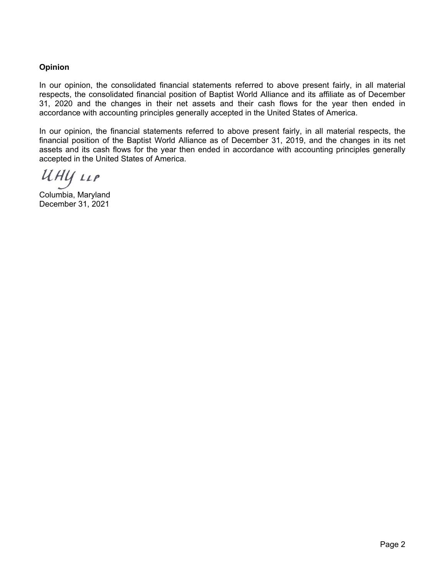# **Opinion**

In our opinion, the consolidated financial statements referred to above present fairly, in all material respects, the consolidated financial position of Baptist World Alliance and its affiliate as of December 31, 2020 and the changes in their net assets and their cash flows for the year then ended in accordance with accounting principles generally accepted in the United States of America.

In our opinion, the financial statements referred to above present fairly, in all material respects, the financial position of the Baptist World Alliance as of December 31, 2019, and the changes in its net assets and its cash flows for the year then ended in accordance with accounting principles generally accepted in the United States of America.

UHY LLP

Columbia, Maryland December 31, 2021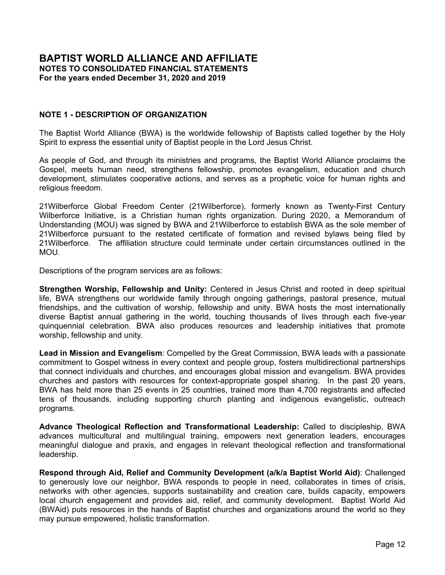**CONSOLIDATED STATEMENT OF FINANCIAL POSITION December 31, 2020 and 2019**

|                                           | 2020                |            | 2019      |  |
|-------------------------------------------|---------------------|------------|-----------|--|
|                                           | <b>Consolidated</b> | <b>BWA</b> |           |  |
| <b>ASSETS</b>                             |                     |            |           |  |
| <b>CURRENT ASSETS</b>                     |                     |            |           |  |
| Cash and cash equivalents                 | \$<br>1,366,313     | \$         | 929,629   |  |
| Accounts receivable                       | 102,537             |            | 25,134    |  |
| Loans receivable                          | 3,218               |            | 18,328    |  |
| Prepaid expenses and other current assets | 173,274             |            | 236,001   |  |
| Total current assets                      | 1,645,342           |            | 1,209,092 |  |
|                                           |                     |            |           |  |
| <b>PROPERTY AND EQUIPMENT - net</b>       | 2,343,066           |            | 2,416,292 |  |
| <b>INVESTMENTS</b>                        |                     |            |           |  |
| <b>Endowment fund investments</b>         | 1,343,727           |            | 1,343,477 |  |
| Other investments                         | 2,774,917           |            | 2,442,717 |  |
| <b>Total investments</b>                  | 4,118,644           |            | 3,786,194 |  |
| <b>OTHER ASSETS</b>                       |                     |            |           |  |
| Loans receivable, net of current portion  | 264,698             |            | 251,064   |  |
| Beneficial interest in trusts             | 1,347,830           |            | 1,277,776 |  |
|                                           |                     |            |           |  |
| Total other assets                        | 1,612,528           |            | 1,528,840 |  |

| Total assets | 9,719,580 | 8,940,418 |
|--------------|-----------|-----------|
|              |           |           |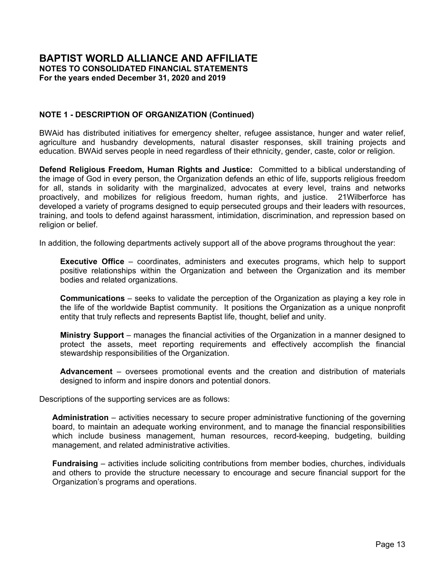|                                             | 2020                | 2019            |
|---------------------------------------------|---------------------|-----------------|
|                                             | <b>Consolidated</b> | <b>BWA</b>      |
| <b>LIABILITIES AND NET ASSETS</b>           |                     |                 |
| <b>CURRENT LIABILITIES</b>                  |                     |                 |
| Accounts payable and accrued expenses       | \$<br>78,871        | \$<br>69,111    |
| Deferred revenue                            | 258,466             | 244,619         |
| Paycheck Protection Program ("PPP") loan    | 206,938             |                 |
| <b>Total current liabilities</b>            | 544,275             | 313,730         |
| NON-CURRENT LIABILITIES                     |                     |                 |
| Security deposits held for tenants          | 19,530              | 19,530          |
| <b>Total liabilities</b>                    | 563,805             | 333,260         |
| <b>NET ASSETS</b>                           |                     |                 |
| <b>Without Donor Restrictions:</b>          |                     |                 |
| Available for operations                    | 799,772             | 523,859         |
| Invested in property and equipment          | 2,343,066           | 2,416,292       |
| Internally designated net assets            | 407,516             | 293,164         |
| Total net assets without donor restrictions | 3,550,354           | 3,233,315       |
| <b>With Donor Restrictions:</b>             |                     |                 |
| Temporarily restricted                      | 2,937,254           | 2,787,678       |
| Permanently restricted:                     |                     |                 |
| <b>Endowment funds</b>                      | 1,343,727           | 1,343,477       |
| Beneficial interest in perpetual trusts     | 1,324,440           | 1,242,688       |
| Total net assets with donor restrictions    | 5,605,421           | 5,373,843       |
| Total net assets                            | 9,155,775           | 8,607,158       |
| Total liabilities and net assets            | \$<br>9,719,580     | \$<br>8,940,418 |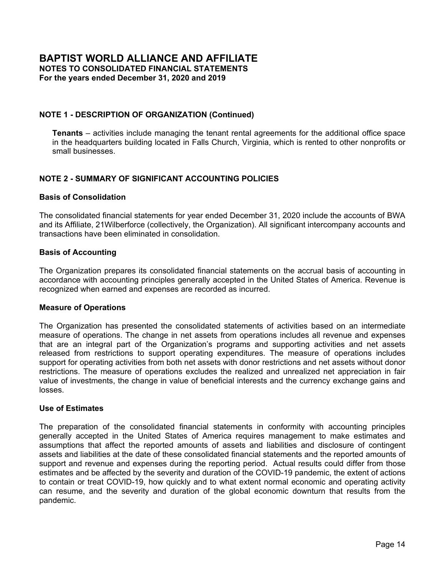**CONSOLIDATED STATEMENT OF ACTIVITIES**

|                                                                | Consolidated                                   |           |                                      |            |                 |
|----------------------------------------------------------------|------------------------------------------------|-----------|--------------------------------------|------------|-----------------|
|                                                                | <b>Without</b><br>Donor<br><b>Restrictions</b> |           | With<br>Donor<br><b>Restrictions</b> |            | <b>Total</b>    |
|                                                                |                                                |           |                                      |            |                 |
| <b>Operations:</b>                                             |                                                |           |                                      |            |                 |
| <b>Support and Revenue</b>                                     |                                                |           |                                      |            |                 |
| Contributions from member bodies                               | \$                                             | 388,068   | \$                                   | 36,000     | \$<br>424,068   |
| Combined federal campaign contributions                        |                                                | 2,935     |                                      | 2,481      | 5,416           |
| Contributions from churches, individuals and others            |                                                | 1,209,566 |                                      | 626,386    | 1,835,952       |
| Contribution from 21Wilberforce affiliation agreement          |                                                | 91,134    |                                      |            | 91,134          |
| General council, conferences and other meeting income          |                                                | 7,335     |                                      |            | 7,335           |
| Interest and dividends                                         |                                                | 82,511    |                                      | 57,160     | 139,671         |
| Distributions from perpetual trusts                            |                                                |           |                                      | 71,351     | 71,351          |
| Rental income                                                  |                                                | 298,646   |                                      |            | 298,646         |
| Miscellaneous                                                  |                                                | 11,891    |                                      |            | 11,891          |
|                                                                |                                                | 2,092,086 |                                      | 793,378    | 2,885,464       |
| Net assets released from restrictions                          |                                                | 750,581   |                                      | (750, 581) |                 |
| Total support and revenue                                      |                                                | 2,842,667 |                                      | 42,797     | 2,885,464       |
| <b>Expenses</b>                                                |                                                |           |                                      |            |                 |
| Program services:                                              |                                                |           |                                      |            |                 |
| Strengthen Worship, Fellowship and Unity                       |                                                | 652,115   |                                      |            | 652,115         |
| Lead in Mission and Evangelism                                 |                                                | 131,742   |                                      |            | 131,742         |
| Advance Theological Reflection and Transformational Leadership |                                                | 177,739   |                                      |            | 177,739         |
| BWAid / Respond through Aid, Relief and Community Development  |                                                | 538,628   |                                      |            | 538,628         |
| Defend Religious Freedom, Human Rights and Justice             |                                                | 497,747   |                                      |            | 497,747         |
| Total program services                                         |                                                | 1,997,971 |                                      |            | 1,997,971       |
| Supporting services:                                           |                                                |           |                                      |            |                 |
| Administration                                                 |                                                | 382,628   |                                      |            | 382,628         |
| Fundraising                                                    |                                                | 147,792   |                                      |            | 147,792         |
| Tenants                                                        |                                                | 132,318   |                                      |            | 132,318         |
| Total expenses                                                 |                                                | 2,660,709 |                                      |            | 2,660,709       |
| <b>Change in Net Assets from Operations</b>                    |                                                | 181,958   |                                      | 42,797     | 224,755         |
| Non-operating gains                                            |                                                |           |                                      |            |                 |
| Realized and unrealized gains                                  |                                                | 123,795   |                                      | 96,051     | 219,846         |
| Change in value of beneficial interests                        |                                                |           |                                      | 92,730     | 92,730          |
| Currency exchange gains                                        |                                                | 11,286    |                                      |            | 11,286          |
| Total non-operating gains                                      |                                                | 135,081   |                                      | 188,781    | 323,862         |
| <b>Change in Net Assets</b>                                    |                                                | 317,039   |                                      | 231,578    | 548,617         |
| Net Assets, Beginning                                          |                                                | 3,233,315 |                                      | 5,373,843  | 8,607,158       |
| Net Assets, Ending                                             | \$                                             | 3,550,354 | \$                                   | 5,605,421  | \$<br>9,155,775 |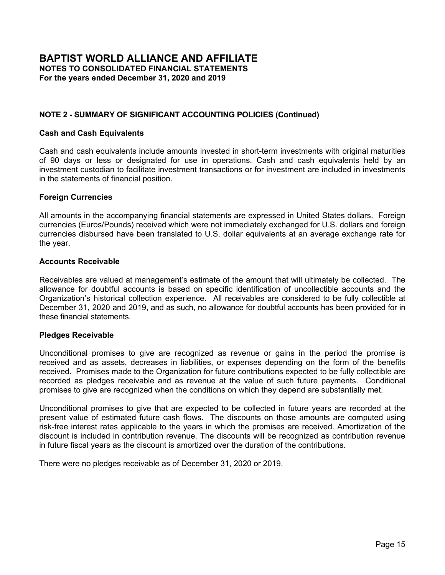**STATEMENT OF ACTIVITIES**

|                                                                | <b>Without</b><br>Donor<br><b>Restrictions</b> |           | With<br>Donor<br><b>Restrictions</b> |                          | Total           |
|----------------------------------------------------------------|------------------------------------------------|-----------|--------------------------------------|--------------------------|-----------------|
| <b>Operations:</b>                                             |                                                |           |                                      |                          |                 |
| <b>Support and Revenue</b>                                     |                                                |           |                                      |                          |                 |
| Contributions from member bodies                               | \$                                             | 396,399   | \$                                   | 45,800                   | \$<br>442,199   |
| Combined federal campaign contributions                        |                                                | 2,869     |                                      | 2,987                    | 5,856           |
| Contributions from churches, individuals and others            |                                                | 696,612   |                                      | 584,219                  | 1,280,831       |
| General council, conferences and other meeting income          |                                                | 530,004   |                                      | $\overline{\phantom{0}}$ | 530,004         |
| Interest and dividends                                         |                                                | 87,929    |                                      | 34,305                   | 122,234         |
| Distributions from perpetual trusts                            |                                                |           |                                      | 71,940                   | 71,940          |
| Rental income                                                  |                                                | 284,628   |                                      |                          | 284,628         |
| Miscellaneous                                                  |                                                | 7,588     |                                      |                          | 7,588           |
|                                                                |                                                | 2,006,029 |                                      | 739,251                  | 2,745,280       |
| Net assets released from restrictions                          |                                                | 633,256   |                                      | (633, 256)               |                 |
| Total support and revenue                                      |                                                | 2,639,285 |                                      | 105,995                  | 2,745,280       |
| <b>Expenses</b>                                                |                                                |           |                                      |                          |                 |
| Program services:                                              |                                                |           |                                      |                          |                 |
| Strengthen Worship, Fellowship and Unity                       |                                                | 1,127,721 |                                      |                          | 1,127,721       |
| Lead in Mission and Evangelism                                 |                                                | 162,225   |                                      |                          | 162,225         |
| Advance Theological Reflection and Transformational Leadership |                                                | 256,559   |                                      |                          | 256,559         |
| BWAid / Respond through Aid, Relief and Community Development  |                                                | 293,012   |                                      |                          | 293,012         |
| Defend Religious Freedom, Human Rights and Justice             |                                                | 92,846    |                                      |                          | 92,846          |
| Total program services                                         |                                                | 1,932,363 |                                      |                          | 1,932,363       |
| Supporting services:                                           |                                                |           |                                      |                          |                 |
| Administration                                                 |                                                | 239,586   |                                      |                          | 239,586         |
| Fundraising                                                    |                                                | 140,263   |                                      |                          | 140,263         |
| Tenants                                                        |                                                | 149,709   |                                      |                          | 149,709         |
| Total expenses                                                 |                                                | 2,461,921 |                                      |                          | 2,461,921       |
| <b>Change in Net Assets from Operations</b>                    |                                                | 177,364   |                                      | 105,995                  | 283,359         |
| Non-operating gains                                            |                                                |           |                                      |                          |                 |
| Realized and unrealized gains                                  |                                                | 281,970   |                                      | 121,369                  | 403,339         |
| Change in value of beneficial interests                        |                                                |           |                                      | 149,625                  | 149,625         |
| Currency exchange loss                                         |                                                | (2, 587)  |                                      |                          | (2,587)         |
| Total non-operating gains                                      |                                                | 279,383   |                                      | 270,994                  | 550,377         |
| <b>Change in Net Assets</b>                                    |                                                | 456,747   |                                      | 376,989                  | 833,736         |
| Net Assets, Beginning                                          |                                                | 2,776,568 |                                      | 4,996,854                | 7,773,422       |
| Net Assets, Ending                                             | \$                                             | 3,233,315 | \$                                   | 5,373,843                | \$<br>8,607,158 |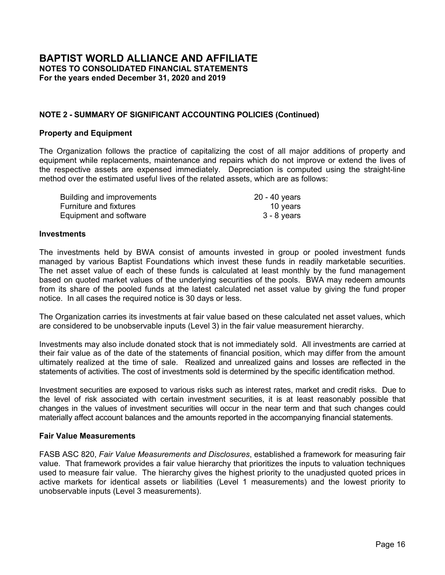#### **CONSOLIDATED STATEMENT OF FUNCTIONAL EXPENSES**

|                                         | <b>PROGRAM SERVICES</b> |         |       |                   |                   |                    |              |         |                |         |
|-----------------------------------------|-------------------------|---------|-------|-------------------|-------------------|--------------------|--------------|---------|----------------|---------|
|                                         |                         |         |       | <b>Mission</b>    |                   |                    |              |         |                |         |
|                                         |                         |         |       | and               |                   | <b>Theological</b> |              |         |                |         |
|                                         | Worship                 |         |       | <b>Evangelism</b> | <b>Reflection</b> |                    | <b>BWAid</b> |         | <b>Justice</b> |         |
| Personnel costs:                        |                         |         |       |                   |                   |                    |              |         |                |         |
| Salaries, including housing allowance   | \$                      | 317,535 | \$    | 49,542            | \$                | 105,838            | \$           | 27,147  | \$             | 250,390 |
| Payroll taxes                           |                         | 14,866  |       | 1,191             |                   | 2,143              |              | 1,306   |                | 11,271  |
| Pension plan contributions              |                         | 40,094  |       | 5,174             |                   | 8,333              |              | 3,492   |                | 6,920   |
| Other employee benefits                 |                         | 72,291  |       | 17,157            |                   | 15,815             |              | 4,128   |                | 34,687  |
| Total personnel costs                   |                         | 444,786 |       | 73,064            |                   | 132,129            |              | 36,073  |                | 303,268 |
| Advertising                             |                         |         |       |                   |                   |                    |              |         |                |         |
| Building maintenance and utilities      |                         | 27,765  |       | 6,250             |                   | 8,666              |              | 3,011   |                | 6,079   |
| Conferences and meetings                |                         | 7,494   |       | 75                |                   | 135                |              | 38      |                | 53      |
| Depreciation                            |                         | 23,803  |       | 5,715             |                   | 7,800              |              | 3,049   |                | 4,933   |
| Grants                                  |                         |         |       | 23,972            |                   |                    |              | 477,977 |                | 49,553  |
| Grants to regions                       |                         | 57,000  |       |                   |                   |                    |              |         |                |         |
| Hospitality                             |                         | 1,944   |       | 452               |                   | 583                | 162          |         |                | 227     |
| Insurance                               |                         | 3,169   |       | 849               |                   | 1,400              |              | 522     |                | 1,218   |
| Office equipment and computer costs     |                         | 34,880  |       | 7,285             |                   | 9,983              |              | 3,638   |                | 11,778  |
| Other fees                              |                         | 3,044   |       | 563               |                   | 718                |              | 3,404   |                | 3,256   |
| Other publications and web              |                         | 7,636   |       | 1,465             |                   | 2,415              |              | 703     |                | 955     |
| Postage and shipments                   |                         | 2,482   |       | 720               |                   | 744                |              | 207     |                | 1,456   |
| President's travel                      |                         | 1,892   |       | 315               |                   | 568                |              | 158     |                | 221     |
| Printing                                |                         | 2,683   |       | 447               |                   | 805                |              | 224     |                | 8,621   |
| Printing and mailing of "Baptist World" |                         | 11,608  |       | 1,935             |                   | 3,482              |              | 967     |                | 1,354   |
| <b>Professional fees</b>                |                         | 168     |       | 28                |                   | 50                 |              | 14      |                | 91,984  |
| Subscriptions, dues and literature      | 882                     |         |       | 1,138             |                   | 249                |              | 4,169   |                | 273     |
| Supplies and materials                  | 2,630                   |         |       | 824               |                   | 718                |              | 254     |                | 4,763   |
| <b>Taxes</b>                            |                         |         |       |                   |                   |                    |              |         |                |         |
| Telephone, facsimile and internet       |                         | 6,909   |       | 1,275             |                   | 1,939              | 712          |         |                | 2,505   |
| Travel of staff and others              |                         | 11,340  | 5,370 |                   | 5,355             |                    | 3,346        |         | 5,250          |         |
| Total expenses                          | \$                      | 652,115 | \$    | 131,742           | \$                | 177,739            | \$           | 538,628 | \$             | 497,747 |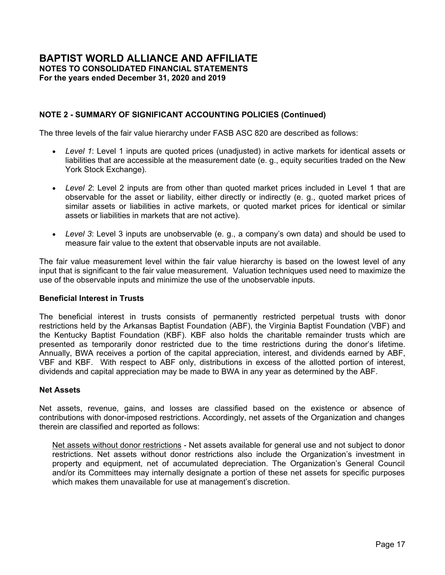|    |                 |          | <b>SUPPORTING SERVICES</b> |       |                    |    |                |         |              |  |        |
|----|-----------------|----------|----------------------------|-------|--------------------|----|----------------|---------|--------------|--|--------|
|    | <b>Total</b>    |          |                            |       |                    |    |                |         |              |  |        |
|    | Program         | Adminis- |                            |       |                    |    |                |         |              |  |        |
|    | <b>Services</b> |          | tration                    |       | <b>Fundraising</b> |    | <b>Tenants</b> |         | <b>Total</b> |  |        |
|    |                 |          |                            |       |                    |    |                |         |              |  |        |
| \$ | 750,452         | \$       | 189,968                    | \$    | 86,963             |    | 24,271         | \$      | 1,051,654    |  |        |
|    | 30,777          |          | 9,091                      |       | 2,813              | \$ | 1,850          |         | 44,531       |  |        |
|    | 64,013          |          | 19,769                     |       | 4,640              |    |                |         | 88,422       |  |        |
|    | 144,078         |          | 40,563                     |       | 10,745             |    | 6,819          |         | 202,205      |  |        |
|    | 989,320         |          | 259,391                    |       | 105,161            |    | 32,940         |         | 1,386,812    |  |        |
|    |                 |          |                            |       | 18,977             |    |                |         | 18,977       |  |        |
|    | 51,771          |          | 6,936                      |       | 2,228              |    | 35,112         |         | 96,047       |  |        |
|    | 7,795           |          |                            |       |                    |    |                |         | 7,795        |  |        |
|    | 45,300          |          | 6,104                      | 1,758 |                    |    | 34,363         |         | 87,525       |  |        |
|    | 551,502         |          |                            |       |                    |    |                | 551,502 |              |  |        |
|    | 57,000          |          | 13,862                     |       |                    |    |                |         | 70,862       |  |        |
|    | 3,368           |          |                            |       |                    |    |                |         | 3,368        |  |        |
|    | 7,158           |          | 683                        |       | 286                |    | 2,928          |         | 11,055       |  |        |
|    | 67,564          |          | 27,802                     |       | 4,850              |    |                |         | 100,216      |  |        |
|    | 10,985          |          | 16,043                     |       | 944                |    |                |         | 27,972       |  |        |
|    | 13,174          |          |                            |       | 3,500              |    |                |         | 16,674       |  |        |
|    | 5,609           |          | 410                        |       | 940                |    |                |         | 6,959        |  |        |
|    | 3,154           |          |                            |       |                    |    |                |         | 3,154        |  |        |
|    | 12,780          |          | 2,901                      |       | 5,953              |    |                |         | 21,634       |  |        |
|    | 19,346          |          |                            |       |                    |    |                |         | 19,346       |  |        |
|    | 92,244          |          | 38,110                     |       |                    |    | 1,619          |         | 131,973      |  |        |
|    | 6,711           |          | 62                         |       | 42                 |    |                |         | 6,815        |  |        |
|    | 9,189           |          | 3,038                      |       | 1,241              |    |                |         | 13,468       |  |        |
|    |                 |          | 605                        |       |                    |    | 25,356         |         | 25,961       |  |        |
|    | 13,340          |          | 5,297                      |       | 969                |    |                |         | 19,606       |  |        |
|    | 30,661          |          | 1,384                      | 943   |                    |    |                |         |              |  | 32,988 |
| S  | 1,997,971       | \$       | 382,628                    | \$    | 147,792<br>\$      |    | 132,318        | \$      | 2,660,709    |  |        |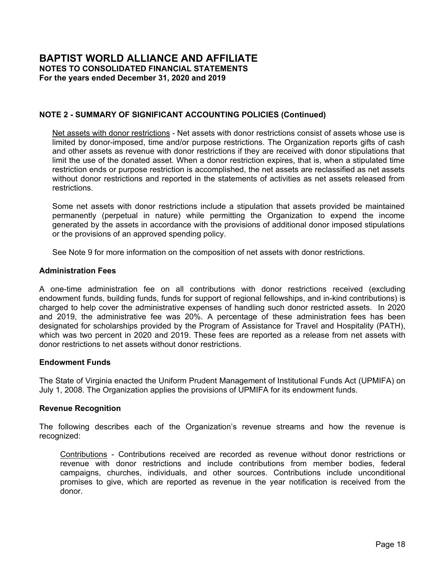**STATEMENT OF FUNCTIONAL EXPENSES - BAPTIST WORLD ALLIANCE**

|                                         | <b>PROGRAM SERVICES</b> |                |    |            |                   |                    |              |         |    |                |
|-----------------------------------------|-------------------------|----------------|----|------------|-------------------|--------------------|--------------|---------|----|----------------|
|                                         |                         | <b>Mission</b> |    |            |                   |                    |              |         |    |                |
|                                         |                         |                |    | and        |                   | <b>Theological</b> |              |         |    |                |
|                                         |                         | Worship        |    | Evangelism | <b>Reflection</b> |                    | <b>BWAid</b> |         |    | <b>Justice</b> |
| Personnel costs:                        |                         |                |    |            |                   |                    |              |         |    |                |
| Salaries, including housing allowance   | \$                      | 288.506        | \$ | 42,889     | \$                | 115,835            | \$           | 21,843  | \$ | 42,889         |
| Payroll taxes                           |                         | 14,660         |    | 1,375      |                   | 3,163              |              | 1,189   |    | 1,375          |
| Pension plan contributions              |                         | 40,284         |    | 4,550      |                   | 10,465             |              | 3,073   |    | 4,550          |
| Other employee benefits                 |                         | 61,879         |    | 5,629      |                   | 12,816             |              | 3,538   |    | 5,626          |
| Total personnel costs                   |                         | 405,329        |    | 54,443     |                   | 142,279            |              | 29,643  |    | 54,440         |
| Advertising                             |                         | 3,623          |    | 684        |                   | 1,572              |              | 273     |    | 684            |
| Building maintenance and utilities      |                         | 33,979         |    | 8,119      |                   | 13,315             |              | 3,383   |    | 8,119          |
| Conferences and meetings                |                         | 432,128        |    | 1,083      |                   | 26,594             |              | 205     |    | 512            |
| Depreciation                            |                         | 23,461         |    | 6,439      |                   | 10,079             |              | 3,416   |    | 6,439          |
| Grants                                  |                         | 35,343         |    | 68,978     |                   |                    |              | 235,929 |    | 1,886          |
| Grants to regions                       |                         | 84,524         |    | -          |                   |                    |              |         |    |                |
| Hospitality                             |                         | 4,700          |    | 873        |                   | 2,007              |              | 421     |    | 873            |
| Insurance                               |                         | 3,891          |    | 1,234      |                   | 2,338              |              | 777     |    | 1,234          |
| Office equipment and computer costs     |                         | 27,948         |    | 5,907      |                   | 15,094             |              | 2,836   |    | 5,638          |
| Other fees                              |                         | 3,495          |    | 713        |                   | 1,357              |              | 698     |    | 693            |
| Other publications and web              |                         | 5,272          |    | 1,187      |                   | 2,284              |              | 398     |    | 995            |
| Postage and shipments                   |                         | 2,691          |    | 558        |                   | 1,196              |              | 205     |    | 493            |
| President's travel                      |                         | 10,923         |    | 2,061      |                   | 4,740              |              | 824     |    | 2,061          |
| Printing                                |                         | 2,642          |    | 499        |                   | 1,307              |              | 199     |    | 498            |
| Printing and mailing of "Baptist World" |                         | 223            |    | 42         |                   | 97                 |              | 16      |    | 42             |
| Professional fees                       |                         |                |    |            |                   |                    |              |         |    |                |
| Subscriptions, dues and literature      |                         | 848            |    | 1,150      |                   | 346                |              | 2,160   |    | 470            |
| Supplies and materials                  |                         | 2,452          |    | 423        |                   | 862                |              | 192     |    | 423            |
| <b>Taxes</b>                            |                         |                |    |            |                   |                    |              |         |    |                |
| Telephone, facsimile and internet       |                         | 5,898          |    | 1,196      |                   | 2,161              |              | 599     |    | 1,196          |
| Travel of staff and others              |                         | 38,351         |    | 6,636      |                   | 28,931             |              | 10,838  |    | 6,150          |
| Total expenses                          | \$                      | 1,127,721      | \$ | 162,225    | \$                | 256,559            | \$           | 293,012 | \$ | 92,846         |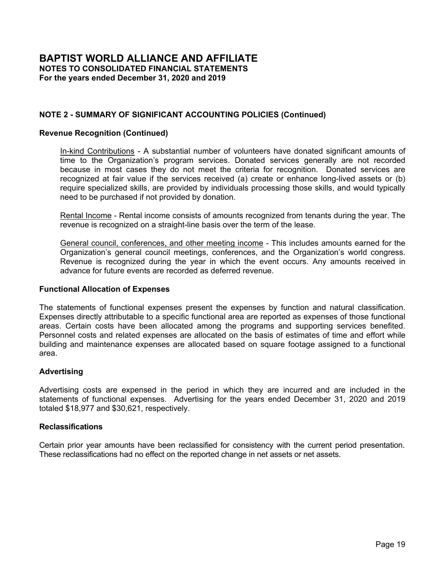|                 |    | <b>SUPPURTING SERVICES</b> |    |                    |    |                |    |              |  |
|-----------------|----|----------------------------|----|--------------------|----|----------------|----|--------------|--|
| <b>Total</b>    |    |                            |    |                    |    |                |    |              |  |
| Program         |    | Adminis-                   |    |                    |    |                |    |              |  |
| <b>Services</b> |    | tration                    |    | <b>Fundraising</b> |    | <b>Tenants</b> |    | <b>Total</b> |  |
|                 |    |                            |    |                    |    |                |    |              |  |
| \$<br>511,962   | \$ | 109,713                    | \$ | 70,583             | \$ | 25,330         | \$ | 717,588      |  |
| 21,762          |    | 5,107                      |    | 646                |    | 1,861          |    | 29,376       |  |
| 62,922          |    | 18,907                     |    | 7,728              |    |                |    | 89,557       |  |
| 89,488          |    | 29,948                     |    | 15,467             |    | 6,175          |    | 141,078      |  |
| 686,134         |    | 163,675                    |    | 94,424             |    | 33,366         |    | 977,599      |  |
| 6,836           |    |                            |    | 23,785             |    |                |    | 30,621       |  |
| 66,915          |    | 8,810                      |    | 2,777              |    | 47,351         |    | 125,853      |  |
| 460,522         |    |                            |    |                    |    |                |    | 460,522      |  |
| 49,834          |    | 6,816                      |    | 1,845              |    | 39,399         |    | 97,894       |  |
| 342,136         |    |                            |    |                    |    |                |    | 342,136      |  |
| 84,524          |    |                            |    |                    |    |                |    | 84,524       |  |
| 8,874           |    |                            |    |                    |    |                |    | 8,874        |  |
| 9.474           |    | 599                        |    | 205                |    | 3,457          |    | 13,735       |  |
| 57,423          |    | 21,742                     |    | 2,806              |    |                |    | 81,971       |  |
| 6,956           |    | 12,317                     |    | 252                |    |                |    | 19,525       |  |
| 10,136          |    |                            |    | 13,421             |    |                |    | 23,557       |  |
| 5,143           |    |                            |    |                    |    |                |    | 5,143        |  |
| 20,609          |    |                            |    |                    |    |                |    | 20,609       |  |
| 5,145           |    |                            |    |                    |    |                |    | 5,145        |  |
| 420             |    |                            |    |                    |    |                |    | 420          |  |
|                 |    | 19,842                     |    |                    |    | 1,658          |    | 21,500       |  |
| 4,974           |    |                            |    |                    |    |                |    | 4,974        |  |
| 4,352           |    | 919                        |    | 120                |    |                |    | 5,391        |  |
|                 |    |                            |    |                    |    | 24,478         |    | 24,478       |  |
| 11,050          |    | 4,866                      |    | 628                |    |                |    | 16,544       |  |
| 90,906          |    |                            |    |                    |    |                |    | 90,906       |  |
| \$<br>1,932,363 | \$ | 239,586                    | \$ | 140,263            |    | 149,709        | \$ | 2,461,921    |  |

| <b>SUPPORTING SERVICES</b> |  |
|----------------------------|--|
| Adminis                    |  |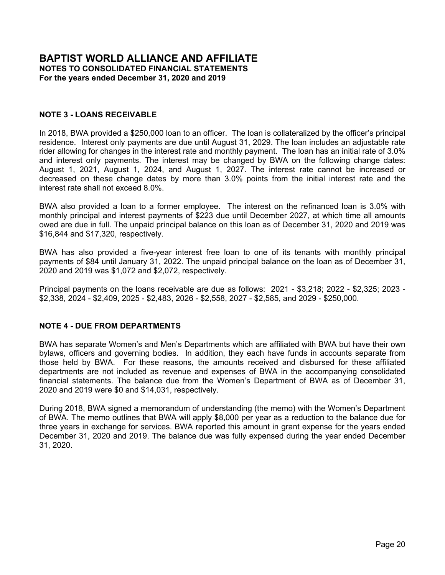**CONSOLIDATED STATEMENTS OF CASH FLOWS**

**For the years ended December 31, 2020 and 2019**

|                                                                | <b>Consolidated</b> | <b>BWA</b>    |
|----------------------------------------------------------------|---------------------|---------------|
| <b>Cash Flows from Operating Activities</b>                    |                     |               |
| Cash received from:                                            |                     |               |
| Contributions from member bodies                               | \$<br>424,068       | \$<br>442,199 |
| Combined federal campaign contributions                        | 5,416               | 5,856         |
| Contributions from churches, individuals and others            | 1,780,975           | 1,399,182     |
| General council, conferences and other meeting income          | 21,182              | 745,481       |
| Interest and dividends and other                               | 148,921             | 122,234       |
| Distributions from perpetual trusts                            | 71,351              | 71,940        |
| Rental income and miscellaneous                                | 392,421             | 292,216       |
| Net cash received from operating activities                    | 2,844,334           | 3,079,108     |
| Cash paid for:                                                 |                     |               |
| Personnel costs                                                | (1,380,086)         | (969, 844)    |
| Grants                                                         | (622, 364)          | (426, 660)    |
| Goods, services and meetings                                   | (651, 380)          | (1,036,892)   |
| Net cash paid for operating activities                         | (2,653,830)         | (2,433,396)   |
| Net cash provided by operating activities                      | 190,504             | 645,712       |
| <b>Cash Flows from Investing Activities</b>                    |                     |               |
| Purchases of property and equipment                            | (14, 299)           | (68, 264)     |
| Purchases of investments                                       | (112, 604)          | (600, 714)    |
| Loan repayments received                                       | 1,476               | 2,651         |
| Net cash used for investing activities                         | (125, 427)          | (666, 327)    |
| <b>Cash Flows from Financing Activities</b>                    |                     |               |
| Cash contributions received and restricted for endowment funds | 250                 | 800           |
| Cash received from PPP loan                                    | 206,938             |               |
| Net cash provided by financing activities                      | 207,188             | 800           |
| <b>Effect of Exchange Rate Changes on Cash</b>                 | 11,286              | (2, 587)      |
| Net Change in Cash and Cash Equivalents                        | 283,551             | (22, 402)     |
| <b>Cash and Cash Equivalents, Beginning</b>                    | 1,082,762           | 952,031       |
| <b>Cash and Cash Equivalents, Ending</b>                       | \$<br>1,366,313     | \$<br>929,629 |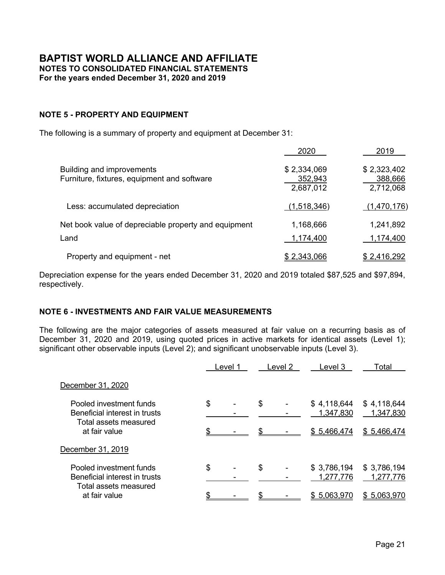#### **NOTE 1 - DESCRIPTION OF ORGANIZATION**

The Baptist World Alliance (BWA) is the worldwide fellowship of Baptists called together by the Holy Spirit to express the essential unity of Baptist people in the Lord Jesus Christ.

As people of God, and through its ministries and programs, the Baptist World Alliance proclaims the Gospel, meets human need, strengthens fellowship, promotes evangelism, education and church development, stimulates cooperative actions, and serves as a prophetic voice for human rights and religious freedom.

21Wilberforce Global Freedom Center (21Wilberforce), formerly known as Twenty-First Century Wilberforce Initiative, is a Christian human rights organization. During 2020, a Memorandum of Understanding (MOU) was signed by BWA and 21Wilberforce to establish BWA as the sole member of 21Wilberforce pursuant to the restated certificate of formation and revised bylaws being filed by 21Wilberforce. The affiliation structure could terminate under certain circumstances outlined in the MOU.

Descriptions of the program services are as follows:

**Strengthen Worship, Fellowship and Unity:** Centered in Jesus Christ and rooted in deep spiritual life, BWA strengthens our worldwide family through ongoing gatherings, pastoral presence, mutual friendships, and the cultivation of worship, fellowship and unity. BWA hosts the most internationally diverse Baptist annual gathering in the world, touching thousands of lives through each five-year quinquennial celebration. BWA also produces resources and leadership initiatives that promote worship, fellowship and unity.

**Lead in Mission and Evangelism**: Compelled by the Great Commission, BWA leads with a passionate commitment to Gospel witness in every context and people group, fosters multidirectional partnerships that connect individuals and churches, and encourages global mission and evangelism. BWA provides churches and pastors with resources for context-appropriate gospel sharing. In the past 20 years, BWA has held more than 25 events in 25 countries, trained more than 4,700 registrants and affected tens of thousands, including supporting church planting and indigenous evangelistic, outreach programs.

**Advance Theological Reflection and Transformational Leadership:** Called to discipleship, BWA advances multicultural and multilingual training, empowers next generation leaders, encourages meaningful dialogue and praxis, and engages in relevant theological reflection and transformational leadership.

**Respond through Aid, Relief and Community Development (a/k/a Baptist World Aid)**: Challenged to generously love our neighbor, BWA responds to people in need, collaborates in times of crisis, networks with other agencies, supports sustainability and creation care, builds capacity, empowers local church engagement and provides aid, relief, and community development. Baptist World Aid (BWAid) puts resources in the hands of Baptist churches and organizations around the world so they may pursue empowered, holistic transformation.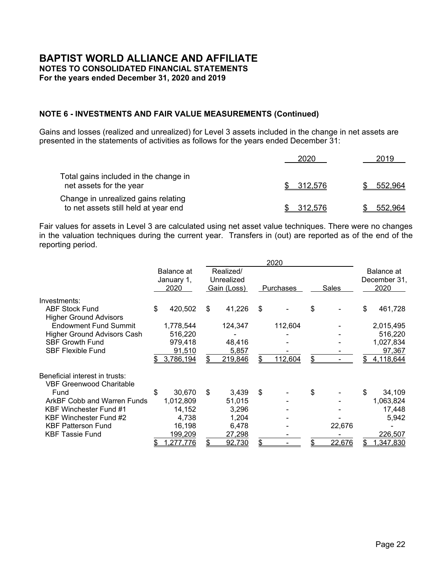## **NOTE 1 - DESCRIPTION OF ORGANIZATION (Continued)**

BWAid has distributed initiatives for emergency shelter, refugee assistance, hunger and water relief, agriculture and husbandry developments, natural disaster responses, skill training projects and education. BWAid serves people in need regardless of their ethnicity, gender, caste, color or religion.

**Defend Religious Freedom, Human Rights and Justice:** Committed to a biblical understanding of the image of God in every person, the Organization defends an ethic of life, supports religious freedom for all, stands in solidarity with the marginalized, advocates at every level, trains and networks proactively, and mobilizes for religious freedom, human rights, and justice. 21Wilberforce has developed a variety of programs designed to equip persecuted groups and their leaders with resources, training, and tools to defend against harassment, intimidation, discrimination, and repression based on religion or belief.

In addition, the following departments actively support all of the above programs throughout the year:

**Executive Office** – coordinates, administers and executes programs, which help to support positive relationships within the Organization and between the Organization and its member bodies and related organizations.

**Communications** – seeks to validate the perception of the Organization as playing a key role in the life of the worldwide Baptist community. It positions the Organization as a unique nonprofit entity that truly reflects and represents Baptist life, thought, belief and unity.

**Ministry Support** – manages the financial activities of the Organization in a manner designed to protect the assets, meet reporting requirements and effectively accomplish the financial stewardship responsibilities of the Organization.

**Advancement** – oversees promotional events and the creation and distribution of materials designed to inform and inspire donors and potential donors.

Descriptions of the supporting services are as follows:

**Administration** – activities necessary to secure proper administrative functioning of the governing board, to maintain an adequate working environment, and to manage the financial responsibilities which include business management, human resources, record-keeping, budgeting, building management, and related administrative activities.

**Fundraising** – activities include soliciting contributions from member bodies, churches, individuals and others to provide the structure necessary to encourage and secure financial support for the Organization's programs and operations.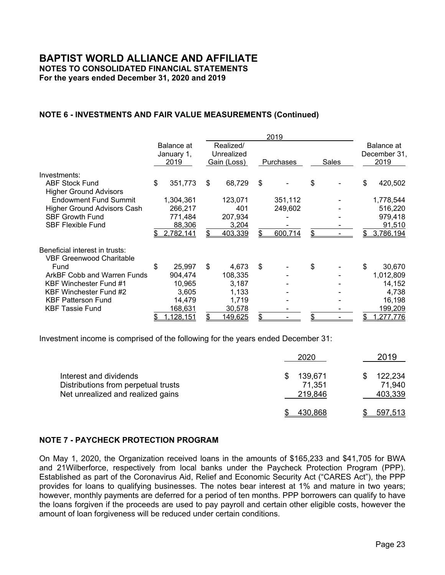### **NOTE 1 - DESCRIPTION OF ORGANIZATION (Continued)**

**Tenants** – activities include managing the tenant rental agreements for the additional office space in the headquarters building located in Falls Church, Virginia, which is rented to other nonprofits or small businesses.

# **NOTE 2 - SUMMARY OF SIGNIFICANT ACCOUNTING POLICIES**

#### **Basis of Consolidation**

The consolidated financial statements for year ended December 31, 2020 include the accounts of BWA and its Affiliate, 21Wilberforce (collectively, the Organization). All significant intercompany accounts and transactions have been eliminated in consolidation.

#### **Basis of Accounting**

The Organization prepares its consolidated financial statements on the accrual basis of accounting in accordance with accounting principles generally accepted in the United States of America. Revenue is recognized when earned and expenses are recorded as incurred.

#### **Measure of Operations**

The Organization has presented the consolidated statements of activities based on an intermediate measure of operations. The change in net assets from operations includes all revenue and expenses that are an integral part of the Organization's programs and supporting activities and net assets released from restrictions to support operating expenditures. The measure of operations includes support for operating activities from both net assets with donor restrictions and net assets without donor restrictions. The measure of operations excludes the realized and unrealized net appreciation in fair value of investments, the change in value of beneficial interests and the currency exchange gains and losses.

#### **Use of Estimates**

The preparation of the consolidated financial statements in conformity with accounting principles generally accepted in the United States of America requires management to make estimates and assumptions that affect the reported amounts of assets and liabilities and disclosure of contingent assets and liabilities at the date of these consolidated financial statements and the reported amounts of support and revenue and expenses during the reporting period. Actual results could differ from those estimates and be affected by the severity and duration of the COVID-19 pandemic, the extent of actions to contain or treat COVID-19, how quickly and to what extent normal economic and operating activity can resume, and the severity and duration of the global economic downturn that results from the pandemic.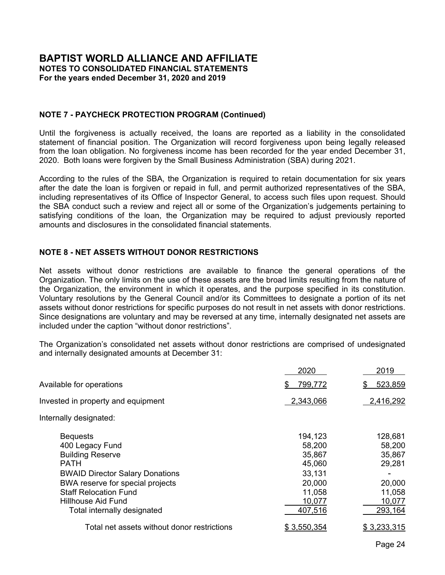## **NOTE 2 - SUMMARY OF SIGNIFICANT ACCOUNTING POLICIES (Continued)**

#### **Cash and Cash Equivalents**

Cash and cash equivalents include amounts invested in short-term investments with original maturities of 90 days or less or designated for use in operations. Cash and cash equivalents held by an investment custodian to facilitate investment transactions or for investment are included in investments in the statements of financial position.

#### **Foreign Currencies**

All amounts in the accompanying financial statements are expressed in United States dollars. Foreign currencies (Euros/Pounds) received which were not immediately exchanged for U.S. dollars and foreign currencies disbursed have been translated to U.S. dollar equivalents at an average exchange rate for the year.

#### **Accounts Receivable**

Receivables are valued at management's estimate of the amount that will ultimately be collected. The allowance for doubtful accounts is based on specific identification of uncollectible accounts and the Organization's historical collection experience. All receivables are considered to be fully collectible at December 31, 2020 and 2019, and as such, no allowance for doubtful accounts has been provided for in these financial statements.

#### **Pledges Receivable**

Unconditional promises to give are recognized as revenue or gains in the period the promise is received and as assets, decreases in liabilities, or expenses depending on the form of the benefits received. Promises made to the Organization for future contributions expected to be fully collectible are recorded as pledges receivable and as revenue at the value of such future payments. Conditional promises to give are recognized when the conditions on which they depend are substantially met.

Unconditional promises to give that are expected to be collected in future years are recorded at the present value of estimated future cash flows. The discounts on those amounts are computed using risk-free interest rates applicable to the years in which the promises are received. Amortization of the discount is included in contribution revenue. The discounts will be recognized as contribution revenue in future fiscal years as the discount is amortized over the duration of the contributions.

There were no pledges receivable as of December 31, 2020 or 2019.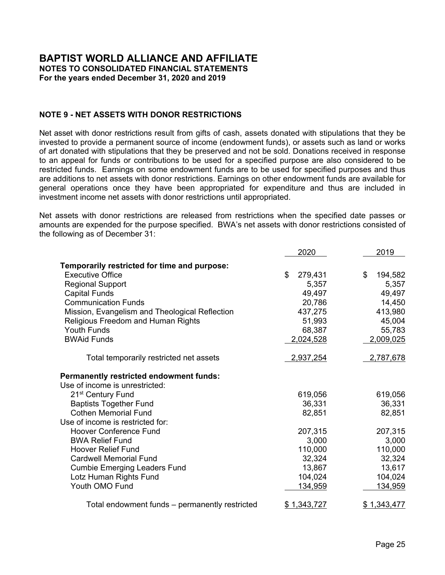## **NOTE 2 - SUMMARY OF SIGNIFICANT ACCOUNTING POLICIES (Continued)**

#### **Property and Equipment**

The Organization follows the practice of capitalizing the cost of all major additions of property and equipment while replacements, maintenance and repairs which do not improve or extend the lives of the respective assets are expensed immediately. Depreciation is computed using the straight-line method over the estimated useful lives of the related assets, which are as follows:

| Building and improvements     | 20 - 40 years |
|-------------------------------|---------------|
| <b>Furniture and fixtures</b> | 10 years      |
| Equipment and software        | 3 - 8 years   |

#### **Investments**

The investments held by BWA consist of amounts invested in group or pooled investment funds managed by various Baptist Foundations which invest these funds in readily marketable securities. The net asset value of each of these funds is calculated at least monthly by the fund management based on quoted market values of the underlying securities of the pools. BWA may redeem amounts from its share of the pooled funds at the latest calculated net asset value by giving the fund proper notice. In all cases the required notice is 30 days or less.

The Organization carries its investments at fair value based on these calculated net asset values, which are considered to be unobservable inputs (Level 3) in the fair value measurement hierarchy.

Investments may also include donated stock that is not immediately sold. All investments are carried at their fair value as of the date of the statements of financial position, which may differ from the amount ultimately realized at the time of sale. Realized and unrealized gains and losses are reflected in the statements of activities. The cost of investments sold is determined by the specific identification method.

Investment securities are exposed to various risks such as interest rates, market and credit risks. Due to the level of risk associated with certain investment securities, it is at least reasonably possible that changes in the values of investment securities will occur in the near term and that such changes could materially affect account balances and the amounts reported in the accompanying financial statements.

#### **Fair Value Measurements**

FASB ASC 820, *Fair Value Measurements and Disclosures*, established a framework for measuring fair value. That framework provides a fair value hierarchy that prioritizes the inputs to valuation techniques used to measure fair value. The hierarchy gives the highest priority to the unadjusted quoted prices in active markets for identical assets or liabilities (Level 1 measurements) and the lowest priority to unobservable inputs (Level 3 measurements).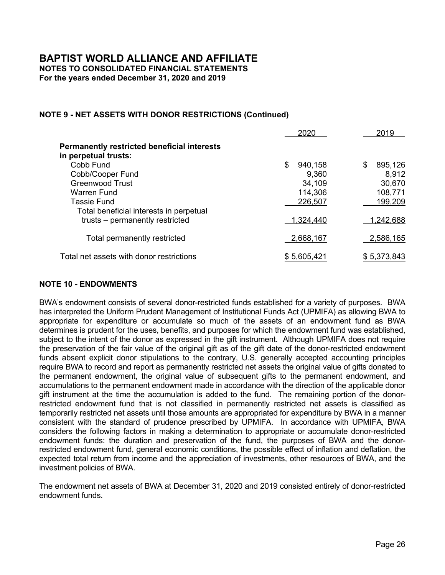# **NOTE 2 - SUMMARY OF SIGNIFICANT ACCOUNTING POLICIES (Continued)**

The three levels of the fair value hierarchy under FASB ASC 820 are described as follows:

- *Level 1*: Level 1 inputs are quoted prices (unadjusted) in active markets for identical assets or liabilities that are accessible at the measurement date (e. g., equity securities traded on the New York Stock Exchange).
- *Level 2*: Level 2 inputs are from other than quoted market prices included in Level 1 that are observable for the asset or liability, either directly or indirectly (e. g., quoted market prices of similar assets or liabilities in active markets, or quoted market prices for identical or similar assets or liabilities in markets that are not active).
- *Level 3*: Level 3 inputs are unobservable (e. g., a company's own data) and should be used to measure fair value to the extent that observable inputs are not available.

The fair value measurement level within the fair value hierarchy is based on the lowest level of any input that is significant to the fair value measurement. Valuation techniques used need to maximize the use of the observable inputs and minimize the use of the unobservable inputs.

#### **Beneficial Interest in Trusts**

The beneficial interest in trusts consists of permanently restricted perpetual trusts with donor restrictions held by the Arkansas Baptist Foundation (ABF), the Virginia Baptist Foundation (VBF) and the Kentucky Baptist Foundation (KBF). KBF also holds the charitable remainder trusts which are presented as temporarily donor restricted due to the time restrictions during the donor's lifetime. Annually, BWA receives a portion of the capital appreciation, interest, and dividends earned by ABF, VBF and KBF. With respect to ABF only, distributions in excess of the allotted portion of interest, dividends and capital appreciation may be made to BWA in any year as determined by the ABF.

#### **Net Assets**

Net assets, revenue, gains, and losses are classified based on the existence or absence of contributions with donor-imposed restrictions. Accordingly, net assets of the Organization and changes therein are classified and reported as follows:

Net assets without donor restrictions - Net assets available for general use and not subject to donor restrictions. Net assets without donor restrictions also include the Organization's investment in property and equipment, net of accumulated depreciation. The Organization's General Council and/or its Committees may internally designate a portion of these net assets for specific purposes which makes them unavailable for use at management's discretion.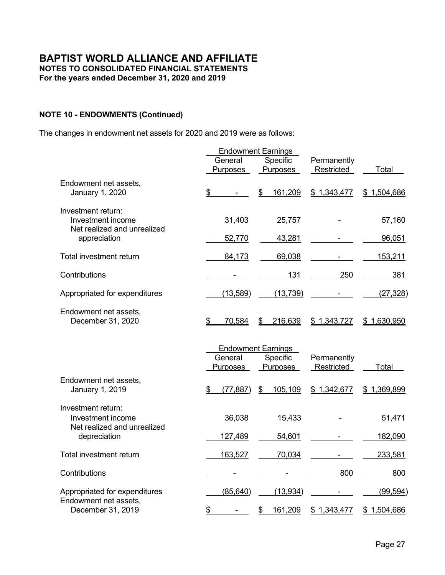## **NOTE 2 - SUMMARY OF SIGNIFICANT ACCOUNTING POLICIES (Continued)**

Net assets with donor restrictions - Net assets with donor restrictions consist of assets whose use is limited by donor-imposed, time and/or purpose restrictions. The Organization reports gifts of cash and other assets as revenue with donor restrictions if they are received with donor stipulations that limit the use of the donated asset. When a donor restriction expires, that is, when a stipulated time restriction ends or purpose restriction is accomplished, the net assets are reclassified as net assets without donor restrictions and reported in the statements of activities as net assets released from restrictions.

Some net assets with donor restrictions include a stipulation that assets provided be maintained permanently (perpetual in nature) while permitting the Organization to expend the income generated by the assets in accordance with the provisions of additional donor imposed stipulations or the provisions of an approved spending policy.

See Note 9 for more information on the composition of net assets with donor restrictions.

#### **Administration Fees**

A one-time administration fee on all contributions with donor restrictions received (excluding endowment funds, building funds, funds for support of regional fellowships, and in-kind contributions) is charged to help cover the administrative expenses of handling such donor restricted assets. In 2020 and 2019, the administrative fee was 20%. A percentage of these administration fees has been designated for scholarships provided by the Program of Assistance for Travel and Hospitality (PATH), which was two percent in 2020 and 2019. These fees are reported as a release from net assets with donor restrictions to net assets without donor restrictions.

#### **Endowment Funds**

The State of Virginia enacted the Uniform Prudent Management of Institutional Funds Act (UPMIFA) on July 1, 2008. The Organization applies the provisions of UPMIFA for its endowment funds.

#### **Revenue Recognition**

The following describes each of the Organization's revenue streams and how the revenue is recognized:

Contributions - Contributions received are recorded as revenue without donor restrictions or revenue with donor restrictions and include contributions from member bodies, federal campaigns, churches, individuals, and other sources. Contributions include unconditional promises to give, which are reported as revenue in the year notification is received from the donor.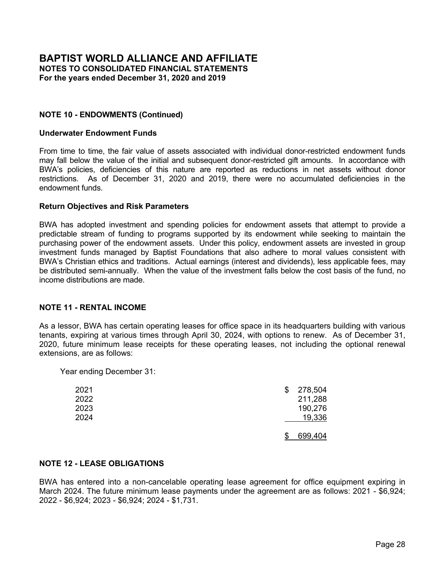# **NOTE 2 - SUMMARY OF SIGNIFICANT ACCOUNTING POLICIES (Continued)**

#### **Revenue Recognition (Continued)**

In-kind Contributions - A substantial number of volunteers have donated significant amounts of time to the Organization's program services. Donated services generally are not recorded because in most cases they do not meet the criteria for recognition. Donated services are recognized at fair value if the services received (a) create or enhance long-lived assets or (b) require specialized skills, are provided by individuals processing those skills, and would typically need to be purchased if not provided by donation.

Rental Income - Rental income consists of amounts recognized from tenants during the year. The revenue is recognized on a straight-line basis over the term of the lease.

General council, conferences, and other meeting income - This includes amounts earned for the Organization's general council meetings, conferences, and the Organization's world congress. Revenue is recognized during the year in which the event occurs. Any amounts received in advance for future events are recorded as deferred revenue.

#### **Functional Allocation of Expenses**

The statements of functional expenses present the expenses by function and natural classification. Expenses directly attributable to a specific functional area are reported as expenses of those functional areas. Certain costs have been allocated among the programs and supporting services benefited. Personnel costs and related expenses are allocated on the basis of estimates of time and effort while building and maintenance expenses are allocated based on square footage assigned to a functional area.

#### **Advertising**

Advertising costs are expensed in the period in which they are incurred and are included in the statements of functional expenses. Advertising for the years ended December 31, 2020 and 2019 totaled \$18,977 and \$30,621, respectively.

#### **Reclassifications**

Certain prior year amounts have been reclassified for consistency with the current period presentation. These reclassifications had no effect on the reported change in net assets or net assets.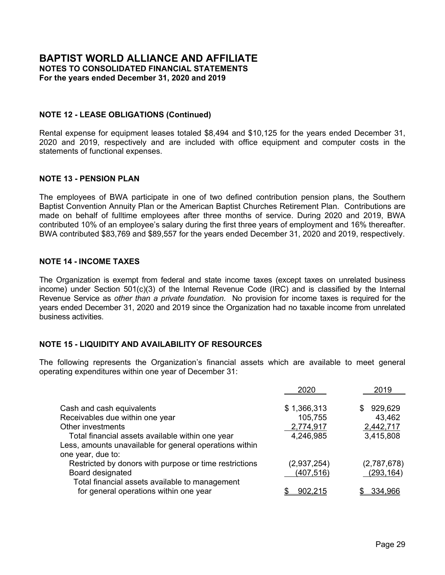# **NOTE 3 - LOANS RECEIVABLE**

In 2018, BWA provided a \$250,000 loan to an officer. The loan is collateralized by the officer's principal residence. Interest only payments are due until August 31, 2029. The loan includes an adjustable rate rider allowing for changes in the interest rate and monthly payment. The loan has an initial rate of 3.0% and interest only payments. The interest may be changed by BWA on the following change dates: August 1, 2021, August 1, 2024, and August 1, 2027. The interest rate cannot be increased or decreased on these change dates by more than 3.0% points from the initial interest rate and the interest rate shall not exceed 8.0%.

BWA also provided a loan to a former employee. The interest on the refinanced loan is 3.0% with monthly principal and interest payments of \$223 due until December 2027, at which time all amounts owed are due in full. The unpaid principal balance on this loan as of December 31, 2020 and 2019 was \$16,844 and \$17,320, respectively.

BWA has also provided a five-year interest free loan to one of its tenants with monthly principal payments of \$84 until January 31, 2022. The unpaid principal balance on the loan as of December 31, 2020 and 2019 was \$1,072 and \$2,072, respectively.

Principal payments on the loans receivable are due as follows: 2021 - \$3,218; 2022 - \$2,325; 2023 - \$2,338, 2024 - \$2,409, 2025 - \$2,483, 2026 - \$2,558, 2027 - \$2,585, and 2029 - \$250,000.

# **NOTE 4 - DUE FROM DEPARTMENTS**

BWA has separate Women's and Men's Departments which are affiliated with BWA but have their own bylaws, officers and governing bodies. In addition, they each have funds in accounts separate from those held by BWA. For these reasons, the amounts received and disbursed for these affiliated departments are not included as revenue and expenses of BWA in the accompanying consolidated financial statements. The balance due from the Women's Department of BWA as of December 31, 2020 and 2019 were \$0 and \$14,031, respectively.

During 2018, BWA signed a memorandum of understanding (the memo) with the Women's Department of BWA. The memo outlines that BWA will apply \$8,000 per year as a reduction to the balance due for three years in exchange for services. BWA reported this amount in grant expense for the years ended December 31, 2020 and 2019. The balance due was fully expensed during the year ended December 31, 2020.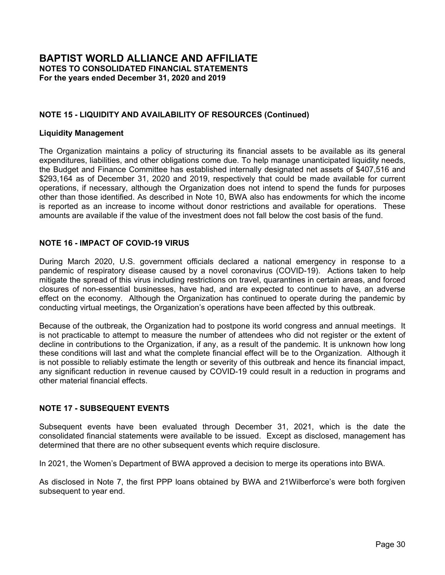## **NOTE 5 - PROPERTY AND EQUIPMENT**

The following is a summary of property and equipment at December 31:

|                                                                          | 2020                                | 2019                                |
|--------------------------------------------------------------------------|-------------------------------------|-------------------------------------|
| Building and improvements<br>Furniture, fixtures, equipment and software | \$2,334,069<br>352,943<br>2,687,012 | \$2,323,402<br>388,666<br>2,712,068 |
| Less: accumulated depreciation                                           | (1,518,346)                         | (1,470,176)                         |
| Net book value of depreciable property and equipment<br>Land             | 1,168,666<br>1,174,400              | 1,241,892<br>1,174,400              |
| Property and equipment - net                                             | \$2,343,066                         | <u>\$2,416,292</u>                  |

Depreciation expense for the years ended December 31, 2020 and 2019 totaled \$87,525 and \$97,894, respectively.

# **NOTE 6 - INVESTMENTS AND FAIR VALUE MEASUREMENTS**

The following are the major categories of assets measured at fair value on a recurring basis as of December 31, 2020 and 2019, using quoted prices in active markets for identical assets (Level 1); significant other observable inputs (Level 2); and significant unobservable inputs (Level 3).

|                                                                                   | Level 1 | Level 2 | Level 3                  | Total                    |
|-----------------------------------------------------------------------------------|---------|---------|--------------------------|--------------------------|
| December 31, 2020                                                                 |         |         |                          |                          |
| Pooled investment funds<br>Beneficial interest in trusts<br>Total assets measured | \$      | \$      | \$4,118,644<br>1,347,830 | \$4,118,644<br>1,347,830 |
| at fair value                                                                     |         |         | \$5,466,474              | \$5,466,474              |
| December 31, 2019                                                                 |         |         |                          |                          |
| Pooled investment funds<br>Beneficial interest in trusts                          | \$      | \$      | \$3,786,194<br>1,277,776 | \$3,786,194<br>1,277,776 |
| Total assets measured<br>at fair value                                            |         |         | \$5,063,970              | \$5,063,970              |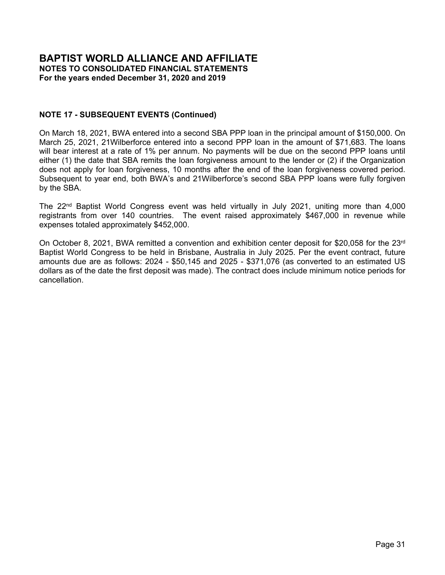# **NOTE 6 - INVESTMENTS AND FAIR VALUE MEASUREMENTS (Continued)**

Gains and losses (realized and unrealized) for Level 3 assets included in the change in net assets are presented in the statements of activities as follows for the years ended December 31:

|                                                                             | 2020    | 2019    |
|-----------------------------------------------------------------------------|---------|---------|
| Total gains included in the change in<br>net assets for the year            | 312,576 | 552,964 |
| Change in unrealized gains relating<br>to net assets still held at year end | 312.576 | 552,964 |

Fair values for assets in Level 3 are calculated using net asset value techniques. There were no changes in the valuation techniques during the current year. Transfers in (out) are reported as of the end of the reporting period.

|                                                                   |                          |                         | 2020      |        |                            |
|-------------------------------------------------------------------|--------------------------|-------------------------|-----------|--------|----------------------------|
|                                                                   | Balance at<br>January 1, | Realized/<br>Unrealized |           |        | Balance at<br>December 31, |
|                                                                   | 2020                     | Gain (Loss)             | Purchases | Sales  | 2020                       |
| Investments:                                                      |                          |                         |           |        |                            |
| <b>ABF Stock Fund</b><br><b>Higher Ground Advisors</b>            | \$<br>420,502            | \$<br>41,226            | \$        | \$     | \$<br>461,728              |
| <b>Endowment Fund Summit</b>                                      | 1,778,544                | 124,347                 | 112,604   |        | 2,015,495                  |
| <b>Higher Ground Advisors Cash</b>                                | 516,220                  |                         |           |        | 516,220                    |
| <b>SBF Growth Fund</b>                                            | 979,418                  | 48,416                  |           |        | 1,027,834                  |
| <b>SBF Flexible Fund</b>                                          | 91,510                   | 5,857                   |           |        | 97,367                     |
|                                                                   | 3,786,194                | 219,846                 | 112,604   |        | 4,118,644                  |
| Beneficial interest in trusts:<br><b>VBF Greenwood Charitable</b> |                          |                         |           |        |                            |
| Fund                                                              | \$<br>30,670             | \$<br>3,439             | \$        | \$     | \$<br>34,109               |
| ArkBF Cobb and Warren Funds                                       | 1,012,809                | 51,015                  |           |        | 1,063,824                  |
| KBF Winchester Fund #1                                            | 14,152                   | 3,296                   |           |        | 17,448                     |
| KBF Winchester Fund #2                                            | 4,738                    | 1,204                   |           |        | 5,942                      |
| <b>KBF Patterson Fund</b>                                         | 16,198                   | 6,478                   |           | 22,676 |                            |
| <b>KBF Tassie Fund</b>                                            | 199,209                  | 27,298                  |           |        | 226,507                    |
|                                                                   | 277,776                  | \$<br>92,730            | \$        | 22,676 | \$<br>,347,830             |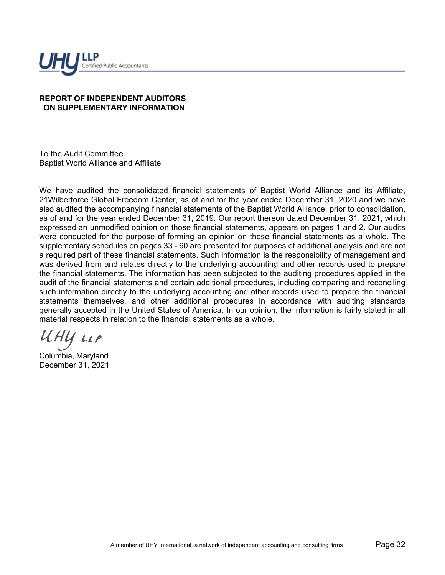# **NOTE 6 - INVESTMENTS AND FAIR VALUE MEASUREMENTS (Continued)**

|                                                                   |                                  |                                        | 2019      |       |                                    |
|-------------------------------------------------------------------|----------------------------------|----------------------------------------|-----------|-------|------------------------------------|
|                                                                   | Balance at<br>January 1,<br>2019 | Realized/<br>Unrealized<br>Gain (Loss) | Purchases | Sales | Balance at<br>December 31,<br>2019 |
| Investments:                                                      |                                  |                                        |           |       |                                    |
| <b>ABF Stock Fund</b>                                             | \$<br>351,773                    | \$<br>68,729                           | \$        | \$    | \$<br>420,502                      |
| <b>Higher Ground Advisors</b>                                     |                                  |                                        |           |       |                                    |
| <b>Endowment Fund Summit</b>                                      | 1,304,361                        | 123,071                                | 351,112   |       | 1,778,544                          |
| <b>Higher Ground Advisors Cash</b>                                | 266,217                          | 401                                    | 249,602   |       | 516,220                            |
| <b>SBF Growth Fund</b>                                            | 771,484                          | 207,934                                |           |       | 979,418                            |
| <b>SBF Flexible Fund</b>                                          | 88,306                           | 3,204                                  |           |       | 91,510                             |
|                                                                   | 2,782,141                        | \$<br>403,339                          | 600,714   | \$    | 3,786,194                          |
| Beneficial interest in trusts:<br><b>VBF Greenwood Charitable</b> |                                  |                                        |           |       |                                    |
| Fund                                                              | \$<br>25,997                     | \$<br>4,673                            | \$        | \$    | \$<br>30,670                       |
| ArkBF Cobb and Warren Funds                                       | 904.474                          | 108,335                                |           |       | 1,012,809                          |
| KBF Winchester Fund #1                                            | 10,965                           | 3,187                                  |           |       | 14,152                             |
| KBF Winchester Fund #2                                            | 3,605                            | 1,133                                  |           |       | 4,738                              |
| <b>KBF Patterson Fund</b>                                         | 14,479                           | 1,719                                  |           |       | 16,198                             |
| <b>KBF Tassie Fund</b>                                            | 168,631                          | 30,578                                 |           |       | 199,209                            |
|                                                                   | 1,128,151                        | \$<br>149,625                          | \$        | \$    | \$<br>1,277,776                    |

Investment income is comprised of the following for the years ended December 31:

|                                     | 2020    | 2019    |
|-------------------------------------|---------|---------|
| Interest and dividends              | 139,671 | 122,234 |
| Distributions from perpetual trusts | 71,351  | 71,940  |
| Net unrealized and realized gains   | 219,846 | 403,339 |
|                                     | 430.868 | 597,513 |

# **NOTE 7 - PAYCHECK PROTECTION PROGRAM**

On May 1, 2020, the Organization received loans in the amounts of \$165,233 and \$41,705 for BWA and 21Wilberforce, respectively from local banks under the Paycheck Protection Program (PPP). Established as part of the Coronavirus Aid, Relief and Economic Security Act ("CARES Act"), the PPP provides for loans to qualifying businesses. The notes bear interest at 1% and mature in two years; however, monthly payments are deferred for a period of ten months. PPP borrowers can qualify to have the loans forgiven if the proceeds are used to pay payroll and certain other eligible costs, however the amount of loan forgiveness will be reduced under certain conditions.